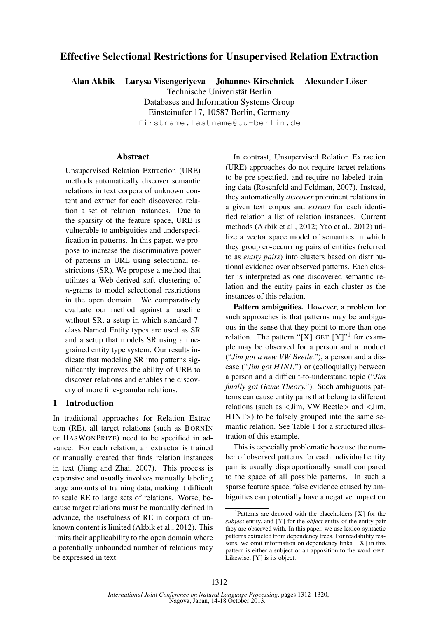# Effective Selectional Restrictions for Unsupervised Relation Extraction

Alan Akbik Larysa Visengeriyeva Johannes Kirschnick Alexander Löser

Technische Univeristät Berlin

Databases and Information Systems Group

Einsteinufer 17, 10587 Berlin, Germany

firstname.lastname@tu-berlin.de

#### Abstract

Unsupervised Relation Extraction (URE) methods automatically discover semantic relations in text corpora of unknown content and extract for each discovered relation a set of relation instances. Due to the sparsity of the feature space, URE is vulnerable to ambiguities and underspecification in patterns. In this paper, we propose to increase the discriminative power of patterns in URE using selectional restrictions (SR). We propose a method that utilizes a Web-derived soft clustering of n-grams to model selectional restrictions in the open domain. We comparatively evaluate our method against a baseline without SR, a setup in which standard 7 class Named Entity types are used as SR and a setup that models SR using a finegrained entity type system. Our results indicate that modeling SR into patterns significantly improves the ability of URE to discover relations and enables the discovery of more fine-granular relations.

### 1 Introduction

In traditional approaches for Relation Extraction (RE), all target relations (such as BORNIN or HASWONPRIZE) need to be specified in advance. For each relation, an extractor is trained or manually created that finds relation instances in text (Jiang and Zhai, 2007). This process is expensive and usually involves manually labeling large amounts of training data, making it difficult to scale RE to large sets of relations. Worse, because target relations must be manually defined in advance, the usefulness of RE in corpora of unknown content is limited (Akbik et al., 2012). This limits their applicability to the open domain where a potentially unbounded number of relations may be expressed in text.

In contrast, Unsupervised Relation Extraction (URE) approaches do not require target relations to be pre-specified, and require no labeled training data (Rosenfeld and Feldman, 2007). Instead, they automatically *discover* prominent relations in a given text corpus and *extract* for each identified relation a list of relation instances. Current methods (Akbik et al., 2012; Yao et al., 2012) utilize a vector space model of semantics in which they group co-occurring pairs of entities (referred to as *entity pairs*) into clusters based on distributional evidence over observed patterns. Each cluster is interpreted as one discovered semantic relation and the entity pairs in each cluster as the instances of this relation.

Pattern ambiguities. However, a problem for such approaches is that patterns may be ambiguous in the sense that they point to more than one relation. The pattern "[X] GET  $[Y]$ " for example may be observed for a person and a product ("*Jim got a new VW Beetle.*"), a person and a disease ("*Jim got H1N1.*") or (colloquially) between a person and a difficult-to-understand topic ("*Jim finally got Game Theory.*"). Such ambiguous patterns can cause entity pairs that belong to different relations (such as <Jim, VW Beetle> and <Jim,  $H1N1$  to be falsely grouped into the same semantic relation. See Table 1 for a structured illustration of this example.

This is especially problematic because the number of observed patterns for each individual entity pair is usually disproportionally small compared to the space of all possible patterns. In such a sparse feature space, false evidence caused by ambiguities can potentially have a negative impact on

<sup>&</sup>lt;sup>1</sup>Patterns are denoted with the placeholders [X] for the *subject* entity, and [Y] for the *object* entity of the entity pair they are observed with. In this paper, we use lexico-syntactic patterns extracted from dependency trees. For readability reasons, we omit information on dependency links. [X] in this pattern is either a subject or an apposition to the word GET. Likewise, [Y] is its object.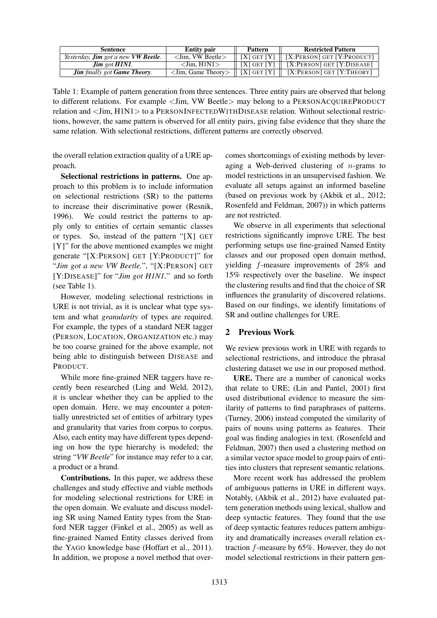| <b>Sentence</b>                                    | <b>Entity pair</b>                   | <b>Pattern</b>  | <b>Restricted Pattern</b>      |  |  |
|----------------------------------------------------|--------------------------------------|-----------------|--------------------------------|--|--|
| Yesterday, <b>Jim</b> got a new <b>VW Beetle</b> . | $\langle$ Jim. VW Beetle $\rangle$   | $[X]$ GET $[Y]$ | $[X:Person]$ GET $[Y:PRODUCT]$ |  |  |
| $\lim$ got $H1NI$ .                                | $\langle$ Jim. H $1$ N $1$ $>$       | $[X]$ GET $[Y]$ | $[X:Person]$ GET $[Y:DISEASE]$ |  |  |
| <b>Jim</b> finally got <b>Game Theory</b> .        | $\langle$ Jim, Game Theory $\rangle$ | $[X]$ GET $[Y]$ | $[X:Person]$ GET $[Y:THEORY]$  |  |  |

Table 1: Example of pattern generation from three sentences. Three entity pairs are observed that belong to different relations. For example <Jim, VW Beetle> may belong to a PERSONACQUIREPRODUCT relation and <Jim, H1N1> to a PERSONINFECTEDWITHDISEASE relation. Without selectional restrictions, however, the same pattern is observed for all entity pairs, giving false evidence that they share the same relation. With selectional restrictions, different patterns are correctly observed.

the overall relation extraction quality of a URE approach.

Selectional restrictions in patterns. One approach to this problem is to include information on selectional restrictions (SR) to the patterns to increase their discriminative power (Resnik, 1996). We could restrict the patterns to apply only to entities of certain semantic classes or types. So, instead of the pattern "[X] GET [Y]" for the above mentioned examples we might generate "[X:PERSON] GET [Y:PRODUCT]" for "*Jim got a new VW Beetle.*", "[X:PERSON] GET [Y:DISEASE]" for "*Jim got H1N1.*" and so forth (see Table 1).

However, modeling selectional restrictions in URE is not trivial, as it is unclear what type system and what *granularity* of types are required. For example, the types of a standard NER tagger (PERSON, LOCATION, ORGANIZATION etc.) may be too coarse grained for the above example, not being able to distinguish between DISEASE and PRODUCT.

While more fine-grained NER taggers have recently been researched (Ling and Weld, 2012), it is unclear whether they can be applied to the open domain. Here, we may encounter a potentially unrestricted set of entities of arbitrary types and granularity that varies from corpus to corpus. Also, each entity may have different types depending on how the type hierarchy is modeled; the string "*VW Beetle*" for instance may refer to a car, a product or a brand.

Contributions. In this paper, we address these challenges and study effective and viable methods for modeling selectional restrictions for URE in the open domain. We evaluate and discuss modeling SR using Named Entity types from the Stanford NER tagger (Finkel et al., 2005) as well as fine-grained Named Entity classes derived from the YAGO knowledge base (Hoffart et al., 2011). In addition, we propose a novel method that overcomes shortcomings of existing methods by leveraging a Web-derived clustering of  $n$ -grams to model restrictions in an unsupervised fashion. We evaluate all setups against an informed baseline (based on previous work by (Akbik et al., 2012; Rosenfeld and Feldman, 2007)) in which patterns are not restricted.

We observe in all experiments that selectional restrictions significantly improve URE. The best performing setups use fine-grained Named Entity classes and our proposed open domain method, yielding f-measure improvements of 28% and 15% respectively over the baseline. We inspect the clustering results and find that the choice of SR influences the granularity of discovered relations. Based on our findings, we identify limitations of SR and outline challenges for URE.

## 2 Previous Work

We review previous work in URE with regards to selectional restrictions, and introduce the phrasal clustering dataset we use in our proposed method.

URE. There are a number of canonical works that relate to URE; (Lin and Pantel, 2001) first used distributional evidence to measure the similarity of patterns to find paraphrases of patterns. (Turney, 2006) instead computed the similarity of pairs of nouns using patterns as features. Their goal was finding analogies in text. (Rosenfeld and Feldman, 2007) then used a clustering method on a similar vector space model to group pairs of entities into clusters that represent semantic relations.

More recent work has addressed the problem of ambiguous patterns in URE in different ways. Notably, (Akbik et al., 2012) have evaluated pattern generation methods using lexical, shallow and deep syntactic features. They found that the use of deep syntactic features reduces pattern ambiguity and dramatically increases overall relation extraction f-measure by 65%. However, they do not model selectional restrictions in their pattern gen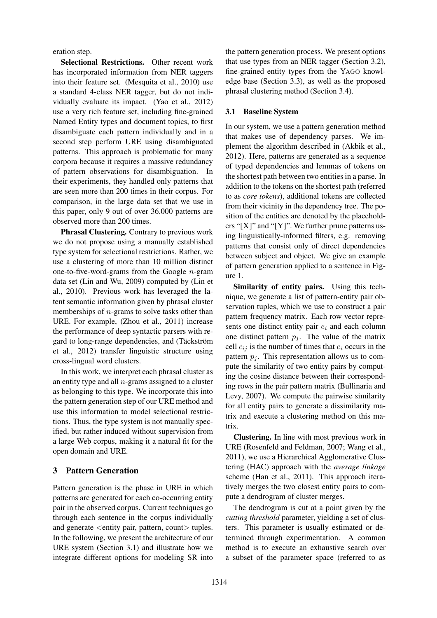eration step.

Selectional Restrictions. Other recent work has incorporated information from NER taggers into their feature set. (Mesquita et al., 2010) use a standard 4-class NER tagger, but do not individually evaluate its impact. (Yao et al., 2012) use a very rich feature set, including fine-grained Named Entity types and document topics, to first disambiguate each pattern individually and in a second step perform URE using disambiguated patterns. This approach is problematic for many corpora because it requires a massive redundancy of pattern observations for disambiguation. In their experiments, they handled only patterns that are seen more than 200 times in their corpus. For comparison, in the large data set that we use in this paper, only 9 out of over 36.000 patterns are observed more than 200 times.

Phrasal Clustering. Contrary to previous work we do not propose using a manually established type system for selectional restrictions. Rather, we use a clustering of more than 10 million distinct one-to-five-word-grams from the Google  $n$ -gram data set (Lin and Wu, 2009) computed by (Lin et al., 2010). Previous work has leveraged the latent semantic information given by phrasal cluster memberships of  $n$ -grams to solve tasks other than URE. For example, (Zhou et al., 2011) increase the performance of deep syntactic parsers with regard to long-range dependencies, and (Täckström et al., 2012) transfer linguistic structure using cross-lingual word clusters.

In this work, we interpret each phrasal cluster as an entity type and all  $n$ -grams assigned to a cluster as belonging to this type. We incorporate this into the pattern generation step of our URE method and use this information to model selectional restrictions. Thus, the type system is not manually specified, but rather induced without supervision from a large Web corpus, making it a natural fit for the open domain and URE.

#### 3 Pattern Generation

Pattern generation is the phase in URE in which patterns are generated for each co-occurring entity pair in the observed corpus. Current techniques go through each sentence in the corpus individually and generate <entity pair, pattern, count> tuples. In the following, we present the architecture of our URE system (Section 3.1) and illustrate how we integrate different options for modeling SR into the pattern generation process. We present options that use types from an NER tagger (Section 3.2), fine-grained entity types from the YAGO knowledge base (Section 3.3), as well as the proposed phrasal clustering method (Section 3.4).

#### 3.1 Baseline System

In our system, we use a pattern generation method that makes use of dependency parses. We implement the algorithm described in (Akbik et al., 2012). Here, patterns are generated as a sequence of typed dependencies and lemmas of tokens on the shortest path between two entities in a parse. In addition to the tokens on the shortest path (referred to as *core tokens*), additional tokens are collected from their vicinity in the dependency tree. The position of the entities are denoted by the placeholders "[X]" and "[Y]". We further prune patterns using linguistically-informed filters, e.g. removing patterns that consist only of direct dependencies between subject and object. We give an example of pattern generation applied to a sentence in Figure 1.

Similarity of entity pairs. Using this technique, we generate a list of pattern-entity pair observation tuples, which we use to construct a pair pattern frequency matrix. Each row vector represents one distinct entity pair  $e_i$  and each column one distinct pattern  $p_i$ . The value of the matrix cell  $c_{ij}$  is the number of times that  $e_i$  occurs in the pattern  $p_i$ . This representation allows us to compute the similarity of two entity pairs by computing the cosine distance between their corresponding rows in the pair pattern matrix (Bullinaria and Levy, 2007). We compute the pairwise similarity for all entity pairs to generate a dissimilarity matrix and execute a clustering method on this matrix.

Clustering. In line with most previous work in URE (Rosenfeld and Feldman, 2007; Wang et al., 2011), we use a Hierarchical Agglomerative Clustering (HAC) approach with the *average linkage* scheme (Han et al., 2011). This approach iteratively merges the two closest entity pairs to compute a dendrogram of cluster merges.

The dendrogram is cut at a point given by the *cutting threshold* parameter, yielding a set of clusters. This parameter is usually estimated or determined through experimentation. A common method is to execute an exhaustive search over a subset of the parameter space (referred to as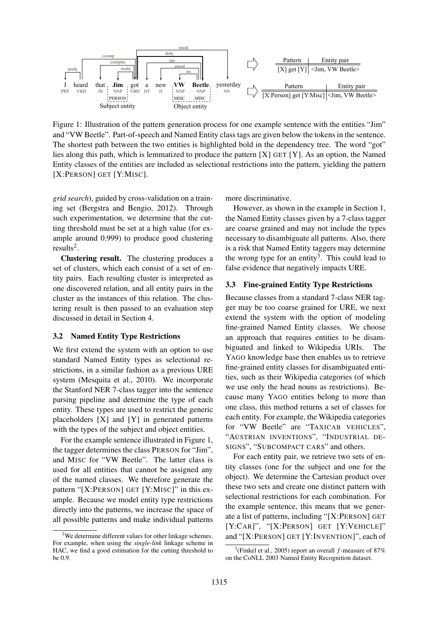

Figure 1: Illustration of the pattern generation process for one example sentence with the entities "Jim" and "VW Beetle". Part-of-speech and Named Entity class tags are given below the tokens in the sentence. The shortest path between the two entities is highlighted bold in the dependency tree. The word "got" lies along this path, which is lemmatized to produce the pattern [X] GET [Y]. As an option, the Named Entity classes of the entities are included as selectional restrictions into the pattern, yielding the pattern [X:PERSON] GET [Y:MISC].

*grid search*), guided by cross-validation on a training set (Bergstra and Bengio, 2012). Through such experimentation, we determine that the cutting threshold must be set at a high value (for example around 0.999) to produce good clustering results<sup>2</sup>.

Clustering result. The clustering produces a set of clusters, which each consist of a set of entity pairs. Each resulting cluster is interpreted as one discovered relation, and all entity pairs in the cluster as the instances of this relation. The clustering result is then passed to an evaluation step discussed in detail in Section 4.

#### 3.2 Named Entity Type Restrictions

We first extend the system with an option to use standard Named Entity types as selectional restrictions, in a similar fashion as a previous URE system (Mesquita et al., 2010). We incorporate the Stanford NER 7-class tagger into the sentence parsing pipeline and determine the type of each entity. These types are used to restrict the generic placeholders [X] and [Y] in generated patterns with the types of the subject and object entities.

For the example sentence illustrated in Figure 1, the tagger determines the class PERSON for "Jim", and MISC for "VW Beetle". The latter class is used for all entities that cannot be assigned any of the named classes. We therefore generate the pattern "[X:PERSON] GET [Y:MISC]" in this example. Because we model entity type restrictions directly into the patterns, we increase the space of all possible patterns and make individual patterns

<sup>2</sup>We determine different values for other linkage schemes. For example, when using the *single-link* linkage scheme in HAC, we find a good estimation for the cutting threshold to be 0.9.

more discriminative.

However, as shown in the example in Section 1, the Named Entity classes given by a 7-class tagger are coarse grained and may not include the types necessary to disambiguate all patterns. Also, there is a risk that Named Entity taggers may determine the wrong type for an entity<sup>3</sup>. This could lead to false evidence that negatively impacts URE.

#### 3.3 Fine-grained Entity Type Restrictions

Because classes from a standard 7-class NER tagger may be too coarse grained for URE, we next extend the system with the option of modeling fine-grained Named Entity classes. We choose an approach that requires entities to be disambiguated and linked to Wikipedia URIs. The YAGO knowledge base then enables us to retrieve fine-grained entity classes for disambiguated entities, such as their Wikipedia categories (of which we use only the head nouns as restrictions). Because many YAGO entities belong to more than one class, this method returns a set of classes for each entity. For example, the Wikipedia categories for "VW Beetle" are "TAXICAB VEHICLES", "AUSTRIAN INVENTIONS", "INDUSTRIAL DE-SIGNS", "SUBCOMPACT CARS" and others.

For each entity pair, we retrieve two sets of entity classes (one for the subject and one for the object). We determine the Cartesian product over these two sets and create one distinct pattern with selectional restrictions for each combination. For the example sentence, this means that we generate a list of patterns, including "[X:PERSON] GET [Y:CAR]", "[X:PERSON] GET [Y:VEHICLE]" and "[X:PERSON] GET [Y:INVENTION]", each of

<sup>&</sup>lt;sup>3</sup>(Finkel et al., 2005) report an overall  $f$ -measure of 87% on the CoNLL 2003 Named Entity Recognition dataset.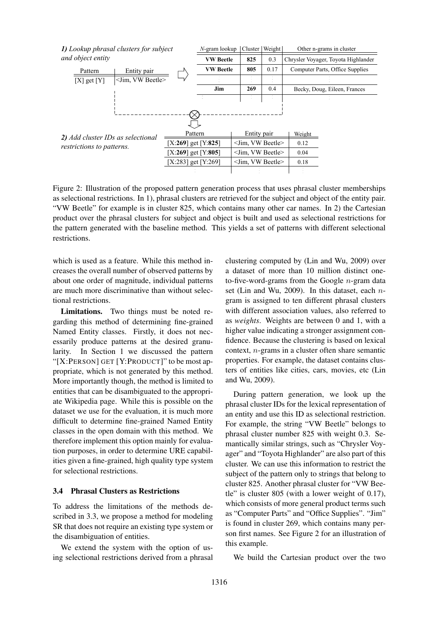

Figure 2: Illustration of the proposed pattern generation process that uses phrasal cluster memberships as selectional restrictions. In 1), phrasal clusters are retrieved for the subject and object of the entity pair. "VW Beetle" for example is in cluster 825, which contains many other car names. In 2) the Cartesian product over the phrasal clusters for subject and object is built and used as selectional restrictions for the pattern generated with the baseline method. This yields a set of patterns with different selectional restrictions.

which is used as a feature. While this method increases the overall number of observed patterns by about one order of magnitude, individual patterns are much more discriminative than without selectional restrictions.

Limitations. Two things must be noted regarding this method of determining fine-grained Named Entity classes. Firstly, it does not necessarily produce patterns at the desired granularity. In Section 1 we discussed the pattern "[X:PERSON] GET [Y:PRODUCT]" to be most appropriate, which is not generated by this method. More importantly though, the method is limited to entities that can be disambiguated to the appropriate Wikipedia page. While this is possible on the dataset we use for the evaluation, it is much more difficult to determine fine-grained Named Entity classes in the open domain with this method. We therefore implement this option mainly for evaluation purposes, in order to determine URE capabilities given a fine-grained, high quality type system for selectional restrictions.

#### 3.4 Phrasal Clusters as Restrictions

To address the limitations of the methods described in 3.3, we propose a method for modeling SR that does not require an existing type system or the disambiguation of entities.

We extend the system with the option of using selectional restrictions derived from a phrasal

clustering computed by (Lin and Wu, 2009) over a dataset of more than 10 million distinct oneto-five-word-grams from the Google  $n$ -gram data set (Lin and Wu, 2009). In this dataset, each  $n$ gram is assigned to ten different phrasal clusters with different association values, also referred to as *weights*. Weights are between 0 and 1, with a higher value indicating a stronger assignment confidence. Because the clustering is based on lexical context,  $n$ -grams in a cluster often share semantic properties. For example, the dataset contains clusters of entities like cities, cars, movies, etc (Lin and Wu, 2009).

During pattern generation, we look up the phrasal cluster IDs for the lexical representation of an entity and use this ID as selectional restriction. For example, the string "VW Beetle" belongs to phrasal cluster number 825 with weight 0.3. Semantically similar strings, such as "Chrysler Voyager" and "Toyota Highlander" are also part of this cluster. We can use this information to restrict the subject of the pattern only to strings that belong to cluster 825. Another phrasal cluster for "VW Beetle" is cluster 805 (with a lower weight of 0.17), which consists of more general product terms such as "Computer Parts" and "Office Supplies". "Jim" is found in cluster 269, which contains many person first names. See Figure 2 for an illustration of this example.

We build the Cartesian product over the two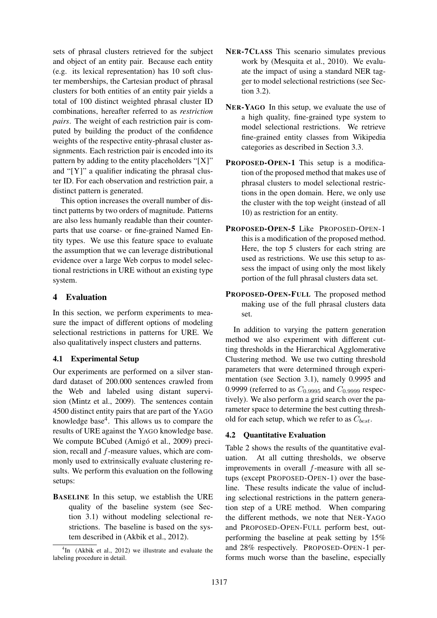sets of phrasal clusters retrieved for the subject and object of an entity pair. Because each entity (e.g. its lexical representation) has 10 soft cluster memberships, the Cartesian product of phrasal clusters for both entities of an entity pair yields a total of 100 distinct weighted phrasal cluster ID combinations, hereafter referred to as *restriction pairs*. The weight of each restriction pair is computed by building the product of the confidence weights of the respective entity-phrasal cluster assignments. Each restriction pair is encoded into its pattern by adding to the entity placeholders " $[X]$ " and "[Y]" a qualifier indicating the phrasal cluster ID. For each observation and restriction pair, a distinct pattern is generated.

This option increases the overall number of distinct patterns by two orders of magnitude. Patterns are also less humanly readable than their counterparts that use coarse- or fine-grained Named Entity types. We use this feature space to evaluate the assumption that we can leverage distributional evidence over a large Web corpus to model selectional restrictions in URE without an existing type system.

### 4 Evaluation

In this section, we perform experiments to measure the impact of different options of modeling selectional restrictions in patterns for URE. We also qualitatively inspect clusters and patterns.

## 4.1 Experimental Setup

Our experiments are performed on a silver standard dataset of 200.000 sentences crawled from the Web and labeled using distant supervision (Mintz et al., 2009). The sentences contain 4500 distinct entity pairs that are part of the YAGO knowledge base<sup>4</sup>. This allows us to compare the results of URE against the YAGO knowledge base. We compute BCubed (Amigó et al., 2009) precision, recall and f-measure values, which are commonly used to extrinsically evaluate clustering results. We perform this evaluation on the following setups:

BASELINE In this setup, we establish the URE quality of the baseline system (see Section 3.1) without modeling selectional restrictions. The baseline is based on the system described in (Akbik et al., 2012).

- NER-7CLASS This scenario simulates previous work by (Mesquita et al., 2010). We evaluate the impact of using a standard NER tagger to model selectional restrictions (see Section 3.2).
- NER-YAGO In this setup, we evaluate the use of a high quality, fine-grained type system to model selectional restrictions. We retrieve fine-grained entity classes from Wikipedia categories as described in Section 3.3.
- PROPOSED-OPEN-1 This setup is a modification of the proposed method that makes use of phrasal clusters to model selectional restrictions in the open domain. Here, we only use the cluster with the top weight (instead of all 10) as restriction for an entity.
- PROPOSED-OPEN-5 Like PROPOSED-OPEN-1 this is a modification of the proposed method. Here, the top 5 clusters for each string are used as restrictions. We use this setup to assess the impact of using only the most likely portion of the full phrasal clusters data set.
- PROPOSED-OPEN-FULL The proposed method making use of the full phrasal clusters data set.

In addition to varying the pattern generation method we also experiment with different cutting thresholds in the Hierarchical Agglomerative Clustering method. We use two cutting threshold parameters that were determined through experimentation (see Section 3.1), namely 0.9995 and 0.9999 (referred to as  $C_{0.9995}$  and  $C_{0.9999}$  respectively). We also perform a grid search over the parameter space to determine the best cutting threshold for each setup, which we refer to as  $C_{best}$ .

## 4.2 Quantitative Evaluation

Table 2 shows the results of the quantitative evaluation. At all cutting thresholds, we observe improvements in overall f-measure with all setups (except PROPOSED-OPEN-1) over the baseline. These results indicate the value of including selectional restrictions in the pattern generation step of a URE method. When comparing the different methods, we note that NER-YAGO and PROPOSED-OPEN-FULL perform best, outperforming the baseline at peak setting by 15% and 28% respectively. PROPOSED-OPEN-1 performs much worse than the baseline, especially

<sup>&</sup>lt;sup>4</sup>In (Akbik et al., 2012) we illustrate and evaluate the labeling procedure in detail.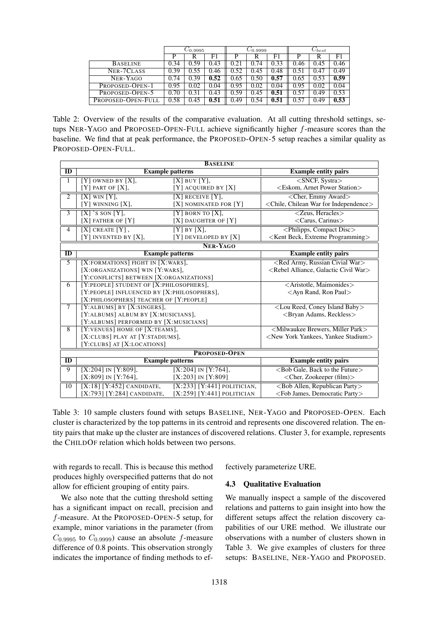|                    | $C_{0.9995}$ |      | $C_{0.9999}$ |      | $\cup$ best |      |                   |      |      |
|--------------------|--------------|------|--------------|------|-------------|------|-------------------|------|------|
|                    | P            | R    | F1           | P    | R           | F1   | P                 | R    | F1   |
| <b>BASELINE</b>    | 0.34         | 0.59 | 0.43         | 0.21 | 0.74        | 0.33 | 0.46              | 0.45 | 0.46 |
| NER-7CLASS         | 0.39         | 0.55 | 0.46         | 0.52 | 0.45        | 0.48 | 0.51              | 0.47 | 0.49 |
| NER-YAGO           | 0.74         | 0.39 | 0.52         | 0.65 | 0.50        | 0.57 | 0.65              | 0.53 | 0.59 |
| PROPOSED-OPEN-1    | 0.95         | 0.02 | 0.04         | 0.95 | 0.02        | 0.04 | $\overline{0.95}$ | 0.02 | 0.04 |
| PROPOSED-OPEN-5    | 0.70         | 0.31 | 0.43         | 0.59 | 0.45        | 0.51 | 0.57              | 0.49 | 0.53 |
| PROPOSED-OPEN-FULL | 0.58         | 0.45 | 0.51         | 0.49 | 0.54        | 0.51 | $\sqrt{.57}$      | 0.49 | 0.53 |

Table 2: Overview of the results of the comparative evaluation. At all cutting threshold settings, setups NER-YAGO and PROPOSED-OPEN-FULL achieve significantly higher f-measure scores than the baseline. We find that at peak performance, the PROPOSED-OPEN-5 setup reaches a similar quality as PROPOSED-OPEN-FULL.

| <b>BASELINE</b>         |                                            |                                                          |                                                            |  |  |  |  |
|-------------------------|--------------------------------------------|----------------------------------------------------------|------------------------------------------------------------|--|--|--|--|
| ID                      | <b>Example patterns</b>                    | <b>Example entity pairs</b>                              |                                                            |  |  |  |  |
| 1                       | $[Y]$ OWNED BY $[X]$ ,                     | $[X]$ BUY $[Y]$ ,                                        | $\langle$ SNCF, Systra $\rangle$                           |  |  |  |  |
|                         | $[Y]$ part of $[X]$ ,                      | $[Y]$ acquired by $[X]$                                  | <eskom, arnet="" power="" station=""></eskom,>             |  |  |  |  |
| $\overline{2}$          | $\overline{[X]$ WIN $\overline{[Y]}$ ,     | <cher, award="" emmy=""></cher,>                         |                                                            |  |  |  |  |
|                         | [Y] WINNING [X],                           | [X] NOMINATED FOR [Y]                                    | <chile, chilean="" for="" independence="" war=""></chile,> |  |  |  |  |
| $\overline{3}$          | $[X]$ 's son $[Y]$ ,                       | $[Y]$ born to $[X]$ ,                                    | <zeus, heracles=""></zeus,>                                |  |  |  |  |
|                         | $[X]$ FATHER OF $[Y]$                      | [X] DAUGHTER OF [Y]                                      | <carus, carinus=""></carus,>                               |  |  |  |  |
| $\overline{4}$          | $[X]$ CREATE $[Y]$ ,                       | $[Y]$ BY $[X]$ ,                                         | <philipps, compact="" disc=""></philipps,>                 |  |  |  |  |
|                         | [Y] invented by [X],                       | $[Y]$ DEVELOPED BY $[X]$                                 | $\leq$ Kent Beck, Extreme Programming $\geq$               |  |  |  |  |
| <b>NER-YAGO</b>         |                                            |                                                          |                                                            |  |  |  |  |
| $\overline{\mathbf{D}}$ | <b>Example patterns</b>                    | <b>Example entity pairs</b>                              |                                                            |  |  |  |  |
| 5                       | [X:FORMATIONS] FIGHT IN [X:WARS],          | <red army,="" civial="" russian="" war=""></red>         |                                                            |  |  |  |  |
|                         | [X:ORGANIZATIONS] WIN [Y:WARS],            | <rebel alliance,="" civil="" galactic="" war=""></rebel> |                                                            |  |  |  |  |
|                         | [Y:CONFLICTS] BETWEEN [X:ORGANIZATIONS]    |                                                          |                                                            |  |  |  |  |
| 6                       | [Y:PEOPLE] STUDENT OF [X:PHILOSOPHERS],    | <aristotle, maimonides=""></aristotle,>                  |                                                            |  |  |  |  |
|                         | [Y:PEOPLE] INFLUENCED BY [X:PHILOSOPHERS], | <ayn paul="" rand,="" ron=""></ayn>                      |                                                            |  |  |  |  |
|                         | [X:PHILOSOPHERS] TEACHER OF [Y:PEOPLE]     |                                                          |                                                            |  |  |  |  |
| $\overline{\tau}$       | [Y:ALBUMS] BY [X:SINGERS],                 | <lou baby="" coney="" island="" reed,=""></lou>          |                                                            |  |  |  |  |
|                         | [Y:ALBUMS] ALBUM BY [X:MUSICIANS],         | <bryan adams,="" reckless=""></bryan>                    |                                                            |  |  |  |  |
|                         | [Y:ALBUMS] PERFORMED BY [X:MUSICIANS]      |                                                          |                                                            |  |  |  |  |
| 8                       | [Y:VENUES] HOME OF [X:TEAMS],              | <milwaukee brewers,="" miller="" park=""></milwaukee>    |                                                            |  |  |  |  |
|                         | [X:CLUBS] PLAY AT [Y:STADIUMS],            | <new stadium="" yankee="" yankees,="" york=""></new>     |                                                            |  |  |  |  |
|                         | [Y:CLUBS] AT [X:LOCATIONS]                 |                                                          |                                                            |  |  |  |  |
| <b>PROPOSED-OPEN</b>    |                                            |                                                          |                                                            |  |  |  |  |
| $\overline{\mathbf{D}}$ | <b>Example patterns</b>                    | <b>Example entity pairs</b>                              |                                                            |  |  |  |  |
| $\overline{9}$          | $[X:204]$ IN $[Y:809]$ ,                   | $[X:204]$ IN [Y:764],                                    | $\langle$ Bob Gale, Back to the Future $\rangle$           |  |  |  |  |
|                         | [X:809] in [Y:764],                        | $[X:203]$ IN [Y:809]                                     | $\langle$ Cher, Zookeeper (film) $>$                       |  |  |  |  |
| 10                      | $[X:18]$ [Y:452] CANDIDATE,                | $[X:233]$ [Y:441] POLITICIAN,                            | <bob allen,="" party="" republican=""></bob>               |  |  |  |  |
|                         | $[X:793]$ [Y:284] CANDIDATE,               | $[X:259]$ [Y:441] POLITICIAN                             | <fob democratic="" james,="" party=""></fob>               |  |  |  |  |

Table 3: 10 sample clusters found with setups BASELINE, NER-YAGO and PROPOSED-OPEN. Each cluster is characterized by the top patterns in its centroid and represents one discovered relation. The entity pairs that make up the cluster are instances of discovered relations. Cluster 3, for example, represents the CHILDOF relation which holds between two persons.

with regards to recall. This is because this method produces highly overspecified patterns that do not allow for efficient grouping of entity pairs.

We also note that the cutting threshold setting has a significant impact on recall, precision and f-measure. At the PROPOSED-OPEN-5 setup, for example, minor variations in the parameter (from  $C_{0.9995}$  to  $C_{0.9999}$  cause an absolute f-measure difference of 0.8 points. This observation strongly indicates the importance of finding methods to effectively parameterize URE.

### 4.3 Qualitative Evaluation

We manually inspect a sample of the discovered relations and patterns to gain insight into how the different setups affect the relation discovery capabilities of our URE method. We illustrate our observations with a number of clusters shown in Table 3. We give examples of clusters for three setups: BASELINE, NER-YAGO and PROPOSED.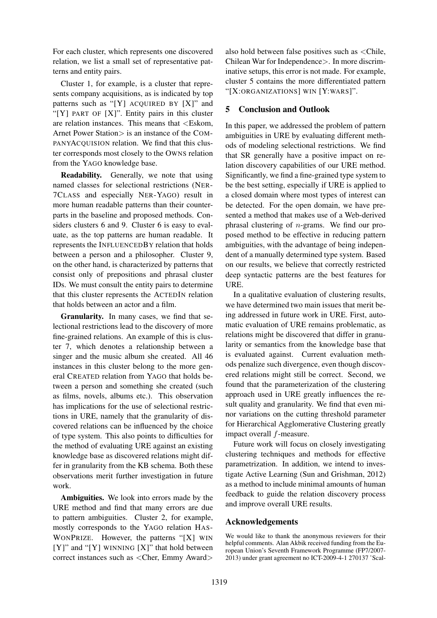For each cluster, which represents one discovered relation, we list a small set of representative patterns and entity pairs.

Cluster 1, for example, is a cluster that represents company acquisitions, as is indicated by top patterns such as "[Y]  $ACQUIRED BY [X]$ " and " $[Y]$  PART OF  $[X]$ ". Entity pairs in this cluster are relation instances. This means that <Eskom, Arnet Power Station is an instance of the COM-PANYACQUISION relation. We find that this cluster corresponds most closely to the OWNS relation from the YAGO knowledge base.

Readability. Generally, we note that using named classes for selectional restrictions (NER-7CLASS and especially NER-YAGO) result in more human readable patterns than their counterparts in the baseline and proposed methods. Considers clusters 6 and 9. Cluster 6 is easy to evaluate, as the top patterns are human readable. It represents the INFLUENCEDBY relation that holds between a person and a philosopher. Cluster 9, on the other hand, is characterized by patterns that consist only of prepositions and phrasal cluster IDs. We must consult the entity pairs to determine that this cluster represents the ACTEDIN relation that holds between an actor and a film.

Granularity. In many cases, we find that selectional restrictions lead to the discovery of more fine-grained relations. An example of this is cluster 7, which denotes a relationship between a singer and the music album she created. All 46 instances in this cluster belong to the more general CREATED relation from YAGO that holds between a person and something she created (such as films, novels, albums etc.). This observation has implications for the use of selectional restrictions in URE, namely that the granularity of discovered relations can be influenced by the choice of type system. This also points to difficulties for the method of evaluating URE against an existing knowledge base as discovered relations might differ in granularity from the KB schema. Both these observations merit further investigation in future work.

Ambiguities. We look into errors made by the URE method and find that many errors are due to pattern ambiguities. Cluster 2, for example, mostly corresponds to the YAGO relation HAS-WONPRIZE. However, the patterns "[X] WIN  $[Y]$ " and "[Y] WINNING [X]" that hold between correct instances such as <Cher, Emmy Award>

also hold between false positives such as <Chile, Chilean War for Independence>. In more discriminative setups, this error is not made. For example, cluster 5 contains the more differentiated pattern "[X:ORGANIZATIONS] WIN [Y:WARS]".

### 5 Conclusion and Outlook

In this paper, we addressed the problem of pattern ambiguities in URE by evaluating different methods of modeling selectional restrictions. We find that SR generally have a positive impact on relation discovery capabilities of our URE method. Significantly, we find a fine-grained type system to be the best setting, especially if URE is applied to a closed domain where most types of interest can be detected. For the open domain, we have presented a method that makes use of a Web-derived phrasal clustering of n-grams. We find our proposed method to be effective in reducing pattern ambiguities, with the advantage of being independent of a manually determined type system. Based on our results, we believe that correctly restricted deep syntactic patterns are the best features for URE.

In a qualitative evaluation of clustering results, we have determined two main issues that merit being addressed in future work in URE. First, automatic evaluation of URE remains problematic, as relations might be discovered that differ in granularity or semantics from the knowledge base that is evaluated against. Current evaluation methods penalize such divergence, even though discovered relations might still be correct. Second, we found that the parameterization of the clustering approach used in URE greatly influences the result quality and granularity. We find that even minor variations on the cutting threshold parameter for Hierarchical Agglomerative Clustering greatly impact overall f-measure.

Future work will focus on closely investigating clustering techniques and methods for effective parametrization. In addition, we intend to investigate Active Learning (Sun and Grishman, 2012) as a method to include minimal amounts of human feedback to guide the relation discovery process and improve overall URE results.

### Acknowledgements

We would like to thank the anonymous reviewers for their helpful comments. Alan Akbik received funding from the European Union's Seventh Framework Programme (FP7/2007- 2013) under grant agreement no ICT-2009-4-1 270137 'Scal